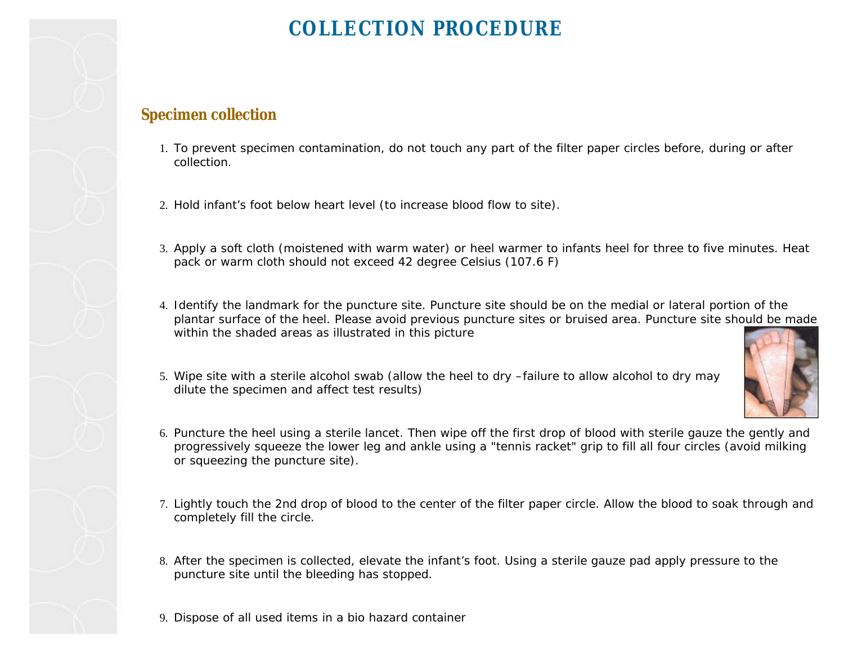## **COLLECTION PROCEDURE**

## **Specimen collection**

- 1. To prevent specimen contamination, do not touch any part of the filter paper circles before, during or after collection.
- 2. Hold infant's foot below heart level (to increase blood flow to site).
- 3. Apply a soft cloth (moistened with warm water) or heel warmer to infants heel for three to five minutes. Heat pack or warm cloth should not exceed 42 degree Celsius (107.6 F)
- 4. Identify the landmark for the puncture site. Puncture site should be on the medial or lateral portion of the plantar surface of the heel. Please avoid previous puncture sites or bruised area. Puncture site should be made within the shaded areas as illustrated in this picture
- 5. Wipe site with a sterile alcohol swab (allow the heel to dry –failure to allow alcohol to dry may dilute the specimen and affect test results)



- 6. Puncture the heel using a sterile lancet. Then wipe off the first drop of blood with sterile gauze the gently and progressively squeeze the lower leg and ankle using a "tennis racket" grip to fill all four circles (avoid milking or squeezing the puncture site).
- 7. Lightly touch the 2nd drop of blood to the center of the filter paper circle. Allow the blood to soak through and completely fill the circle.
- 8. After the specimen is collected, elevate the infant's foot. Using a sterile gauze pad apply pressure to the puncture site until the bleeding has stopped.
- 9. Dispose of all used items in a bio hazard container